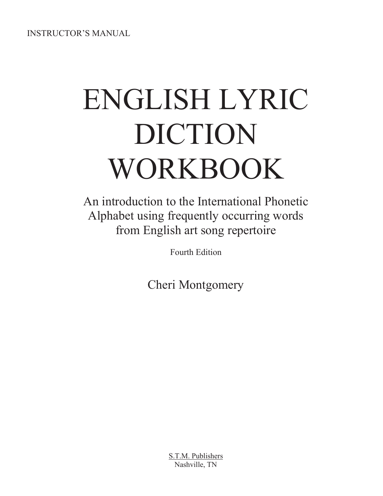INSTRUCTOR'S MANUAL

# ENGLISH LYRIC DICTION WORKBOOK

An introduction to the International Phonetic Alphabet using frequently occurring words from English art song repertoire

Fourth Edition

Cheri Montgomery

S.T.M. Publishers Nashville, TN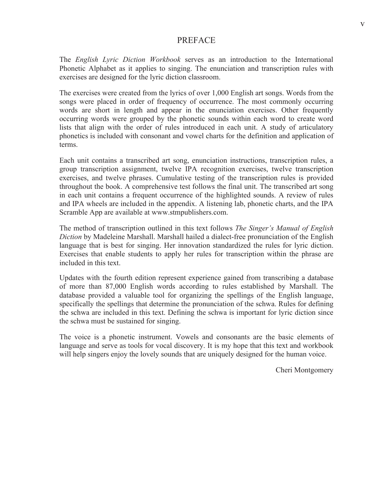#### PREFACE

The *English Lyric Diction Workbook* serves as an introduction to the International Phonetic Alphabet as it applies to singing. The enunciation and transcription rules with exercises are designed for the lyric diction classroom.

The exercises were created from the lyrics of over 1,000 English art songs. Words from the songs were placed in order of frequency of occurrence. The most commonly occurring words are short in length and appear in the enunciation exercises. Other frequently occurring words were grouped by the phonetic sounds within each word to create word lists that align with the order of rules introduced in each unit. A study of articulatory phonetics is included with consonant and vowel charts for the definition and application of terms.

Each unit contains a transcribed art song, enunciation instructions, transcription rules, a group transcription assignment, twelve IPA recognition exercises, twelve transcription exercises, and twelve phrases. Cumulative testing of the transcription rules is provided throughout the book. A comprehensive test follows the final unit. The transcribed art song in each unit contains a frequent occurrence of the highlighted sounds. A review of rules and IPA wheels are included in the appendix. A listening lab, phonetic charts, and the IPA Scramble App are available at www.stmpublishers.com.

The method of transcription outlined in this text follows *The Singer's Manual of English Diction* by Madeleine Marshall. Marshall hailed a dialect-free pronunciation of the English language that is best for singing. Her innovation standardized the rules for lyric diction. Exercises that enable students to apply her rules for transcription within the phrase are included in this text.

Updates with the fourth edition represent experience gained from transcribing a database of more than 87,000 English words according to rules established by Marshall. The database provided a valuable tool for organizing the spellings of the English language, specifically the spellings that determine the pronunciation of the schwa. Rules for defining the schwa are included in this text. Defining the schwa is important for lyric diction since the schwa must be sustained for singing.

The voice is a phonetic instrument. Vowels and consonants are the basic elements of language and serve as tools for vocal discovery. It is my hope that this text and workbook will help singers enjoy the lovely sounds that are uniquely designed for the human voice.

Cheri Montgomery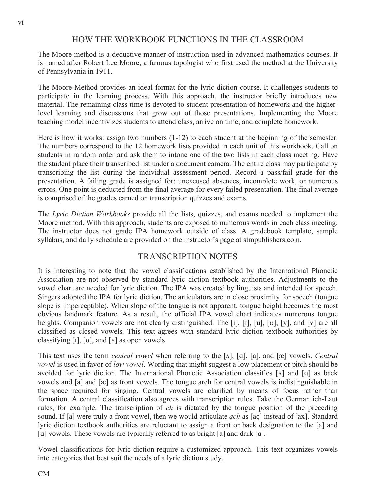#### HOW THE WORKBOOK FUNCTIONS IN THE CLASSROOM

The Moore method is a deductive manner of instruction used in advanced mathematics courses. It is named after Robert Lee Moore, a famous topologist who first used the method at the University of Pennsylvania in 1911.

The Moore Method provides an ideal format for the lyric diction course. It challenges students to participate in the learning process. With this approach, the instructor briefly introduces new material. The remaining class time is devoted to student presentation of homework and the higherlevel learning and discussions that grow out of those presentations. Implementing the Moore teaching model incentivizes students to attend class, arrive on time, and complete homework.

Here is how it works: assign two numbers (1-12) to each student at the beginning of the semester. The numbers correspond to the 12 homework lists provided in each unit of this workbook. Call on students in random order and ask them to intone one of the two lists in each class meeting. Have the student place their transcribed list under a document camera. The entire class may participate by transcribing the list during the individual assessment period. Record a pass/fail grade for the presentation. A failing grade is assigned for: unexcused absences, incomplete work, or numerous errors. One point is deducted from the final average for every failed presentation. The final average is comprised of the grades earned on transcription quizzes and exams.

The *Lyric Diction Workbooks* provide all the lists, quizzes, and exams needed to implement the Moore method. With this approach, students are exposed to numerous words in each class meeting. The instructor does not grade IPA homework outside of class. A gradebook template, sample syllabus, and daily schedule are provided on the instructor's page at stmpublishers.com.

#### TRANSCRIPTION NOTES

It is interesting to note that the vowel classifications established by the International Phonetic Association are not observed by standard lyric diction textbook authorities. Adjustments to the vowel chart are needed for lyric diction. The IPA was created by linguists and intended for speech. Singers adopted the IPA for lyric diction. The articulators are in close proximity for speech (tongue slope is imperceptible). When slope of the tongue is not apparent, tongue height becomes the most obvious landmark feature. As a result, the official IPA vowel chart indicates numerous tongue heights. Companion vowels are not clearly distinguished. The [i], [i], [u], [v], [y], and [ $\gamma$ ] are all classified as closed vowels. This text agrees with standard lyric diction textbook authorities by classifying [ $\iota$ ], [ $\iota$ ], and [ $\iota$ ] as open vowels.

This text uses the term *central vowel* when referring to the  $[\Lambda], [\alpha], [\alpha]$ , and  $[\alpha]$  vowels. *Central vowel* is used in favor of *low vowel*. Wording that might suggest a low placement or pitch should be avoided for lyric diction. The International Phonetic Association classifies  $[\Lambda]$  and  $[\alpha]$  as back vowels and  $[a]$  and  $[\mathcal{R}]$  as front vowels. The tongue arch for central vowels is indistinguishable in the space required for singing. Central vowels are clarified by means of focus rather than formation. A central classification also agrees with transcription rules. Take the German ich-Laut rules, for example. The transcription of *ch* is dictated by the tongue position of the preceding sound. If [a] were truly a front vowel, then we would articulate *ach* as [aç] instead of [ax]. Standard lyric diction textbook authorities are reluctant to assign a front or back designation to the [a] and [a] vowels. These vowels are typically referred to as bright [a] and dark [a].

Vowel classifications for lyric diction require a customized approach. This text organizes vowels into categories that best suit the needs of a lyric diction study.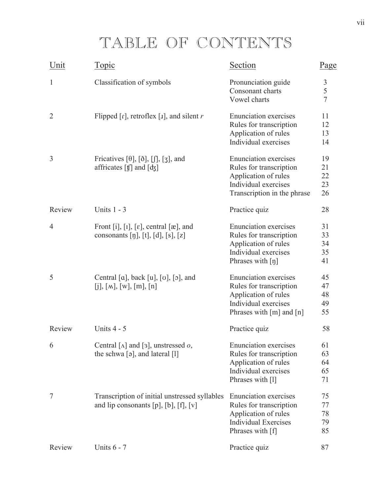## TABLE OF CONTENTS

| Unit           | <u>Topic</u>                                                                                                   | <b>Section</b>                                                                                                                               | Page                       |
|----------------|----------------------------------------------------------------------------------------------------------------|----------------------------------------------------------------------------------------------------------------------------------------------|----------------------------|
| 1              | Classification of symbols                                                                                      | Pronunciation guide<br>Consonant charts<br>Vowel charts                                                                                      | 3<br>5<br>$\overline{7}$   |
| $\overline{2}$ | Flipped $[r]$ , retroflex $[x]$ , and silent r                                                                 | <b>Enunciation</b> exercises<br>Rules for transcription<br>Application of rules<br>Individual exercises                                      | 11<br>12<br>13<br>14       |
| 3              | Fricatives [ $\theta$ ], [ $\delta$ ], [ $\iiint$ ], [ $\zeta$ ], and<br>affricates [t] and [dʒ]               | <b>Enunciation</b> exercises<br>Rules for transcription<br>Application of rules<br>Individual exercises<br>Transcription in the phrase       | 19<br>21<br>22<br>23<br>26 |
| Review         | Units $1 - 3$                                                                                                  | Practice quiz                                                                                                                                | 28                         |
| $\overline{4}$ | Front [i], [I], [ $\varepsilon$ ], central [ $\infty$ ], and<br>consonants [ŋ], [t], [d], [s], [z]             | <b>Enunciation</b> exercises<br>Rules for transcription<br>Application of rules<br>Individual exercises<br>Phrases with $\lceil \eta \rceil$ | 31<br>33<br>34<br>35<br>41 |
| 5              | Central [a], back [u], [v], [o], and<br>[i], [M], [W], [m], [n]                                                | <b>Enunciation</b> exercises<br>Rules for transcription<br>Application of rules<br>Individual exercises<br>Phrases with $[m]$ and $[n]$      | 45<br>47<br>48<br>49<br>55 |
| Review         | Units 4 - 5                                                                                                    | Practice quiz                                                                                                                                | 58                         |
| 6              | Central [ $\Lambda$ ] and [3], unstressed $o$ ,<br>the schwa $\lceil 9 \rceil$ , and lateral $\lceil 1 \rceil$ | <b>Enunciation</b> exercises<br>Rules for transcription<br>Application of rules<br>Individual exercises<br>Phrases with [1]                  | 61<br>63<br>64<br>65<br>71 |
| $\tau$         | Transcription of initial unstressed syllables<br>and lip consonants $[p]$ , $[b]$ , $[f]$ , $[v]$              | <b>Enunciation</b> exercises<br>Rules for transcription<br>Application of rules<br><b>Individual Exercises</b><br>Phrases with [f]           | 75<br>77<br>78<br>79<br>85 |
| Review         | Units $6 - 7$                                                                                                  | Practice quiz                                                                                                                                | 87                         |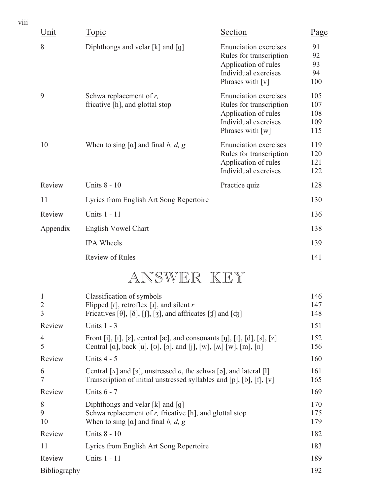| viii |          |                                                               |                                                                                                                             |                                 |
|------|----------|---------------------------------------------------------------|-----------------------------------------------------------------------------------------------------------------------------|---------------------------------|
|      | Unit     | Topic                                                         | Section                                                                                                                     | <u>Page</u>                     |
|      | 8        | Diphthongs and velar [k] and [g]                              | <b>Enunciation</b> exercises<br>Rules for transcription<br>Application of rules<br>Individual exercises<br>Phrases with [v] | 91<br>92<br>93<br>94<br>100     |
|      | 9        | Schwa replacement of $r$ ,<br>fricative [h], and glottal stop | <b>Enunciation</b> exercises<br>Rules for transcription<br>Application of rules<br>Individual exercises<br>Phrases with [w] | 105<br>107<br>108<br>109<br>115 |
|      | 10       | When to sing $[a]$ and final b, d, g                          | <b>Enunciation</b> exercises<br>Rules for transcription<br>Application of rules<br>Individual exercises                     | 119<br>120<br>121<br>122        |
|      | Review   | Units 8 - 10                                                  | Practice quiz                                                                                                               | 128                             |
|      | 11       | Lyrics from English Art Song Repertoire                       |                                                                                                                             | 130                             |
|      | Review   | Units 1 - 11                                                  |                                                                                                                             | 136                             |
|      | Appendix | <b>English Vowel Chart</b>                                    |                                                                                                                             | 138                             |
|      |          | <b>IPA</b> Wheels                                             |                                                                                                                             | 139                             |
|      |          | <b>Review of Rules</b>                                        |                                                                                                                             | 141                             |
|      |          |                                                               |                                                                                                                             |                                 |

## ANSWER KEY

| $\mathbf{1}$<br>$\overline{2}$ | Classification of symbols<br>Flipped $\lceil r \rceil$ , retroflex $\lceil r \rceil$ , and silent r                                                                  | 146<br>147        |
|--------------------------------|----------------------------------------------------------------------------------------------------------------------------------------------------------------------|-------------------|
| 3                              | Fricatives [ $\theta$ ], [ $\delta$ ], [ $\int$ ], [ $\int$ ], and affricates [ $\sharp$ ] and [ $\mathrm{d}$ <sub>3</sub> ]                                         | 148               |
| Review                         | Units $1 - 3$                                                                                                                                                        | 151               |
| $\overline{4}$<br>5            | Front [i], [i], [e], central [æ], and consonants [ŋ], [t], [d], [s], [z]<br>Central [a], back [u], [o], [o], and [j], [w], [ $\wedge$ ] [w], [m], [n]                | 152<br>156        |
| Review                         | Units $4 - 5$                                                                                                                                                        | 160               |
| 6<br>$\overline{7}$            | Central [ $\Lambda$ ] and [3], unstressed <i>o</i> , the schwa [ $\sigma$ ], and lateral [1]<br>Transcription of initial unstressed syllables and [p], [b], [f], [v] | 161<br>165        |
| Review                         | Units $6 - 7$                                                                                                                                                        | 169               |
| 8<br>9<br>10                   | Diphthongs and velar $[k]$ and $[q]$<br>Schwa replacement of $r$ , fricative [h], and glottal stop<br>When to sing [a] and final b, d, g                             | 170<br>175<br>179 |
| Review                         | Units 8 - 10                                                                                                                                                         | 182               |
| 11                             | Lyrics from English Art Song Repertoire                                                                                                                              | 183               |
| Review                         | Units 1 - 11                                                                                                                                                         | 189               |
| Bibliography                   |                                                                                                                                                                      | 192               |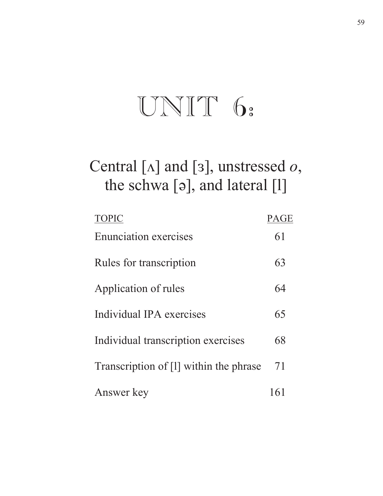# UNIT 6:

## Central [ $\Lambda$ ] and [3], unstressed *o*, the schwa [ǝ], and lateral [l]

| <b>TOPIC</b>                           | <b>PAGE</b> |
|----------------------------------------|-------------|
| <b>Enunciation exercises</b>           | 61          |
| Rules for transcription                | 63          |
| Application of rules                   | 64          |
| Individual IPA exercises               | 65          |
| Individual transcription exercises     | 68          |
| Transcription of [1] within the phrase | 71          |
| Answer key                             | 161         |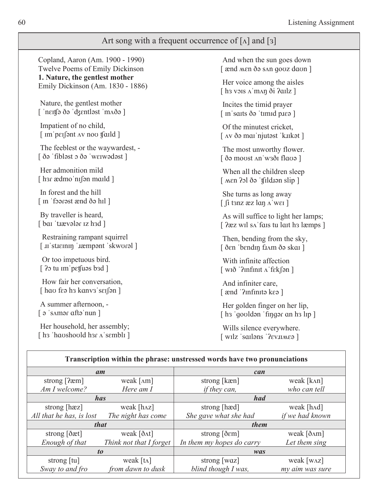#### Art song with a frequent occurrence of  $\lceil \Lambda \rceil$  and  $\lceil 3 \rceil$

Copland, Aaron (Am. 1900 - 1990) Twelve Poems of Emily Dickinson **1. Nature, the gentlest mother**  Emily Dickinson (Am. 1830 - 1886)

 Nature, the gentlest mother [ 'nɛɪtʃə ðə 'dʒɛntləst 'mʌðə]

 Impatient of no child,  $\lceil$  im perfont  $\Delta v$  nove thanks

 The feeblest or the waywardest, -  $\int$   $\delta$ ə 'fibləst  $\delta$   $\delta$ ə 'werwədəst  $\int$ 

 Her admonition mild  $\lceil$  har ædmo'nı $\lceil$ on maild  $\rceil$ 

 In forest and the hill  $\lceil$  In 'foorest ænd  $\delta$ o hil  $\lceil$ 

 By traveller is heard,  $[$  bar 'trævələr iz h $]$ 

 Restraining rampant squirrel [u'stueining 'impropent 'skworal]

 Or too impetuous bird.  $[$  ??> tu im pet supersion by perform  $\mathbb{R}$  supersion is a set of  $\mathbb{R}$ 

 How fair her conversation,  $\lceil$  hao feə ha kanva'sei $\lceil$ ən $\rceil$ 

 A summer afternoon, -  $[$   $\circ$  's amor aft  $\circ$  'nun  $]$ 

Her household, her assembly; [ h  $\frac{1}{2}$  h  $\frac{1}{2}$  h  $\frac{1}{2}$  h  $\frac{1}{2}$  h  $\frac{1}{2}$  h  $\frac{1}{2}$  h  $\frac{1}{2}$  h  $\frac{1}{2}$  h  $\frac{1}{2}$  h  $\frac{1}{2}$  h  $\frac{1}{2}$  h  $\frac{1}{2}$  h  $\frac{1}{2}$  h  $\frac{1}{2}$  h  $\frac{1}{2}$  h  $\frac{1}{2}$  h  $\frac{1}{2}$  h  $\frac{1}{2}$  h

 And when the sun goes down [ ænd men ðə san qouz daun ] Her voice among the aisles  $\lceil$  h vois  $\Lambda$  m $\Lambda$ n $\delta$ i  $\ell$ ailz  $\lceil$ 

 Incites the timid prayer [ In saits do 'timid plea ]

 Of the minutest cricket,  $[$  AV $\delta$ ə mai'njutəst 'kukət  $]$ 

 The most unworthy flower.  $\int$ ðə moust An'waði flavə  $\int$ 

 When all the children sleep  $[$  Men  $2$ ol ðə ' $\int$ fildi $\int$ on slip  $\int$ 

 She turns as long away  $[$   $\int$ i tanz æz lan $\Lambda$ 'wei ]

As will suffice to light her lamps; >ݦ [ZܼOVޖݞIܤܼVWXOܤܼWKܮO PSV@

 Then, bending from the sky,  $\int$ ð $\epsilon$ n 'b $\epsilon$ ndın fi $\Delta$ m ðə skai $\int$ 

 With infinite affection  $\lceil$  WI $\delta$   $\lceil$ 2Infinit  $\Lambda$  fek $\lceil$ ən $\rceil$ 

 And infiniter care, [  $\text{and}$  '? Infinito kea ]

 Her golden finger on her lip,  $\lceil$  h s 'goold and 'fing are an h s lip  $\lceil$ 

 Wills silence everywhere.  $\lceil$  wilz 'sailons '?ev.ume?  $\rceil$ 

| Transcription within the phrase: unstressed words have two pronunciations |                               |                                   |                                   |  |  |  |  |  |  |  |
|---------------------------------------------------------------------------|-------------------------------|-----------------------------------|-----------------------------------|--|--|--|--|--|--|--|
|                                                                           | am                            | can                               |                                   |  |  |  |  |  |  |  |
| strong $[2em]$                                                            | weak $\lceil \Delta m \rceil$ | strong [kæn]                      | weak [kʌn]                        |  |  |  |  |  |  |  |
| Am I welcome?                                                             | Here am I                     | <i>if they can,</i>               | who can tell                      |  |  |  |  |  |  |  |
|                                                                           | <i>has</i>                    | had                               |                                   |  |  |  |  |  |  |  |
| strong $[\text{h} \text{z}]$                                              | weak $[h \lambda z]$          | strong [hæd]                      | weak $[hd]$                       |  |  |  |  |  |  |  |
| All that he has, is lost                                                  | The night has come            |                                   | if we had known                   |  |  |  |  |  |  |  |
|                                                                           | <i>that</i>                   | them                              |                                   |  |  |  |  |  |  |  |
| strong $[\delta \alpha t]$                                                | weak [ $\delta \Delta t$ ]    | strong $[\delta \varepsilon m]$   | weak [ðʌm]                        |  |  |  |  |  |  |  |
| Enough of that                                                            | Think not that I forget       | In them my hopes do carry         | Let them sing                     |  |  |  |  |  |  |  |
|                                                                           | t <sub>0</sub>                | was                               |                                   |  |  |  |  |  |  |  |
| strong $\lceil \text{tu} \rceil$                                          | weak $[t_{\Lambda}]$          | strong $\lceil \text{waz} \rceil$ | weak $\lceil w_{\Delta Z} \rceil$ |  |  |  |  |  |  |  |
| Sway to and fro                                                           | from dawn to dusk             | blind though I was,               | my aim was sure                   |  |  |  |  |  |  |  |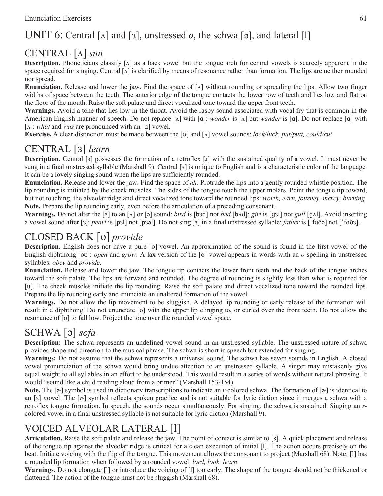### UNIT 6: Central  $\lceil \Delta \rceil$  and  $\lceil 3 \rceil$ , unstressed *o*, the schwa  $\lceil 9 \rceil$ , and lateral  $\lceil 1 \rceil$

### CENTRAL [ $\Lambda$ ] sun

**Description.** Phoneticians classify  $[\Lambda]$  as a back vowel but the tongue arch for central vowels is scarcely apparent in the space required for singing. Central  $[\Lambda]$  is clarified by means of resonance rather than formation. The lips are neither rounded nor spread.

**Enunciation.** Release and lower the jaw. Find the space of  $[\Lambda]$  without rounding or spreading the lips. Allow two finger widths of space between the teeth. The anterior edge of the tongue contacts the lower row of teeth and lies low and flat on the floor of the mouth. Raise the soft palate and direct vocalized tone toward the upper front teeth.

**Warnings.** Avoid a tone that lies low in the throat. Avoid the raspy sound associated with vocal fry that is common in the American English manner of speech. Do not replace  $[\alpha]$  with  $[\alpha]$ : *wonder* is  $[\alpha]$  but *wander* is  $[\alpha]$ . Do not replace  $[\alpha]$  with  $[\Lambda]$ : *what* and *was* are pronounced with an  $[\alpha]$  vowel.

**Exercise.** A clear distinction must be made between the [v] and [A] vowel sounds: *look/luck, put/putt, could/cut* 

### CENTRAL [3] learn

**Description.** Central [3] possesses the formation of a retroflex [1] with the sustained quality of a vowel. It must never be sung in a final unstressed syllable (Marshall 9). Central [3] is unique to English and is a characteristic color of the language. It can be a lovely singing sound when the lips are sufficiently rounded.

**Enunciation.** Release and lower the jaw. Find the space of *ah.* Protrude the lips into a gently rounded whistle position. The lip rounding is initiated by the cheek muscles. The sides of the tongue touch the upper molars. Point the tongue tip toward, but not touching, the alveolar ridge and direct vocalized tone toward the rounded lips: *worth, earn, journey, mercy, burning* **Note.** Prepare the lip rounding early, even before the articulation of a preceding consonant.

**Warnings.** Do not alter the  $\lceil 3 \rceil$  to an  $\lceil \Delta \rceil$  or  $\lceil 5 \rceil$  sound: *bird* is  $\lceil \beta 3d \rceil$  not *bud*  $\lceil \beta 4d \rceil$ ; *girl* is  $\lceil \frac{1}{3} \rceil$  not *gull*  $\lceil \frac{1}{3} \rceil$ . Avoid inserting a vowel sound after [3]: pearl is [p3l] not [p3əl]. Do not sing [3] in a final unstressed syllable: *father* is ['faðə] not ['fað3].

#### CLOSED BACK [o] *provide*

**Description.** English does not have a pure [o] vowel. An approximation of the sound is found in the first vowel of the English diphthong [ov]: *open* and *grow*. A lax version of the [o] vowel appears in words with an *o* spelling in unstressed syllables: *obey* and *provide*.

**Enunciation.** Release and lower the jaw. The tongue tip contacts the lower front teeth and the back of the tongue arches toward the soft palate. The lips are forward and rounded. The degree of rounding is slightly less than what is required for [u]. The cheek muscles initiate the lip rounding. Raise the soft palate and direct vocalized tone toward the rounded lips. Prepare the lip rounding early and enunciate an unaltered formation of the vowel.

**Warnings.** Do not allow the lip movement to be sluggish. A delayed lip rounding or early release of the formation will result in a diphthong. Do not enunciate [o] with the upper lip clinging to, or curled over the front teeth. Do not allow the resonance of [o] to fall low. Project the tone over the rounded vowel space.

### SCHWA [ə] sofa

**Description:** The schwa represents an undefined vowel sound in an unstressed syllable. The unstressed nature of schwa provides shape and direction to the musical phrase. The schwa is short in speech but extended for singing.

**Warnings:** Do not assume that the schwa represents a universal sound. The schwa has seven sounds in English. A closed vowel pronunciation of the schwa would bring undue attention to an unstressed syllable. A singer may mistakenly give equal weight to all syllables in an effort to be understood. This would result in a series of words without natural phrasing. It would "sound like a child reading aloud from a primer" (Marshall 153-154).

**Note.** The  $[\infty]$  symbol is used in dictionary transcriptions to indicate an r-colored schwa. The formation of  $[\infty]$  is identical to an [3] vowel. The  $[\infty]$  symbol reflects spoken practice and is not suitable for lyric diction since it merges a schwa with a retroflex tongue formation. In speech, the sounds occur simultaneously. For singing, the schwa is sustained. Singing an *r*colored vowel in a final unstressed syllable is not suitable for lyric diction (Marshall 9).

#### VOICED ALVEOLAR LATERAL [l]

**Articulation.** Raise the soft palate and release the jaw. The point of contact is similar to [s]. A quick placement and release of the tongue tip against the alveolar ridge is critical for a clean execution of initial [l]. The action occurs precisely on the beat. Initiate voicing with the flip of the tongue. This movement allows the consonant to project (Marshall 68). Note: [l] has a rounded lip formation when followed by a rounded vowel: *lord, look, learn*

**Warnings.** Do not elongate [l] or introduce the voicing of [l] too early. The shape of the tongue should not be thickened or flattened. The action of the tongue must not be sluggish (Marshall 68).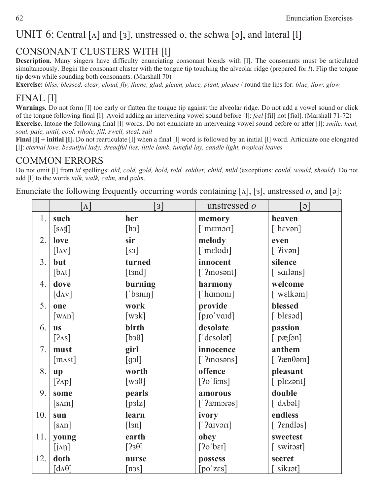### UNIT 6: Central [ $\Lambda$ ] and [3], unstressed o, the schwa [ə], and lateral [1]

#### CONSONANT CLUSTERS WITH [l]

**Description.** Many singers have difficulty enunciating consonant blends with [l]. The consonants must be articulated simultaneously. Begin the consonant cluster with the tongue tip touching the alveolar ridge (prepared for *l*). Flip the tongue tip down while sounding both consonants. (Marshall 70)

**Exercise:** *bliss, blessed, clear, cloud, fly, flame, glad, gleam, place, plant, please* / round the lips for: *blue, flow, glow*

#### FINAL [l]

**Warnings.** Do not form [l] too early or flatten the tongue tip against the alveolar ridge. Do not add a vowel sound or click of the tongue following final [1]. Avoid adding an intervening vowel sound before [1]: *feel* [fil] not [fiːal]. (Marshall 71-72) **Exercise.** Intone the following final [l] words. Do not enunciate an intervening vowel sound before or after [l]: *smile, heal, soul, pale, until, cool, whole, fill, swell, steal, sail* 

**Final**  $\begin{bmatrix} 1 \end{bmatrix}$  **+ initial**  $\begin{bmatrix} 1 \end{bmatrix}$ **. Do not rearticulate**  $\begin{bmatrix} 1 \end{bmatrix}$  **when a final**  $\begin{bmatrix} 1 \end{bmatrix}$  **word is followed by an initial**  $\begin{bmatrix} 1 \end{bmatrix}$  **word. Articulate one elongated** [l]: *eternal love, beautiful lady, dreadful lies, little lamb, tuneful lay, candle light, tropical leaves* 

#### COMMON ERRORS

Do not omit [l] from *ld* spellings: *old, cold, gold, hold, told, soldier, child, mild* (exceptions: *could, would, should*). Do not add [l] to the words *talk, walk, calm,* and *palm.* 

Enunciate the following frequently occurring words containing  $[\Lambda]$ ,  $[3]$ , unstressed *o*, and  $[\circ]$ :

|                  | $\lceil \Lambda \rceil$                              | $\lceil 3 \rceil$                 | unstressed <i>o</i>           | $\lceil e \rceil$                           |
|------------------|------------------------------------------------------|-----------------------------------|-------------------------------|---------------------------------------------|
| 1.               | such                                                 | her                               | memory                        | heaven                                      |
|                  | $[s \Lambda \mathfrak{t}]$                           | [ <sub>h3</sub> ]                 | $\lceil$ memori               | ['h $evan$ ]                                |
| 2.               | love                                                 | sir                               | melody                        | even                                        |
|                  | $\begin{bmatrix} \text{ln} \mathbf{v} \end{bmatrix}$ | $\lceil$ S3]                      | $\lceil$ 'melodi]             | $\lceil$ '?ivən]                            |
| 3.               | but                                                  | turned                            | innocent                      | silence                                     |
|                  | [b <sub>At</sub> ]                                   | [tand]                            | $\lceil$ '?inosənt]           | $\lceil$ 'sailəns]                          |
| $\overline{4}$ . | dove                                                 | burning                           | harmony                       | welcome                                     |
|                  | $\lceil d_{AV} \rceil$                               | $['b$ 3nin $]$                    | ['hamoni]                     | $\lceil$ 'wɛlkəm]                           |
| 5.               | one                                                  | work                              | provide                       | blessed                                     |
|                  | $\lceil w \triangle n \rceil$                        | $\left[\text{w}_3\text{k}\right]$ | [pIO'val]                     | [ $blesod$ ]                                |
| 6.               | <b>us</b>                                            | birth                             | desolate                      | passion                                     |
|                  | $[2\text{as}]$                                       | [bs0]                             | $\lceil$ 'd $\epsilon$ solət] | $[\n]$ pæ $\lceil$ ən]                      |
| 7.               | must                                                 | girl                              | innocence                     | anthem                                      |
|                  | [m <sub>A</sub> st]                                  | [g3]                              | $\lceil$ '?inosəns]           | [' $2$ æn $\theta$ əm]                      |
| 8.               | up                                                   | worth                             | offence                       | pleasant                                    |
|                  | $[2\text{AP}]$                                       | $\lceil \text{W3}\theta \rceil$   | $[2o'$ fens]                  | ['plɛzənt]                                  |
| 9.               | some                                                 | pearls                            | amorous                       | double                                      |
|                  | $[s\land m]$                                         | [p3]z]                            | [' $?$ æmorəs]                | $\lceil d \Delta b \cdot \mathbf{d} \rceil$ |
| 10.              | sun                                                  | learn                             | ivory                         | endless                                     |
|                  | $[s\Lambda n]$                                       | [13n]                             | $[$ 12 13 13 14 $]$           | $['2 \text{endlos}]$                        |
| 11.              | young                                                | earth                             | obey                          | sweetest                                    |
|                  | $[j \land \eta]$                                     | [330]                             | [20]                          | ['switast]                                  |
| 12.              | doth                                                 | nurse                             | possess                       | secret                                      |
|                  | $\lceil d \Lambda \theta \rceil$                     | [n3s]                             | [po'zes]                      | $\lceil$ 'sik.tət]                          |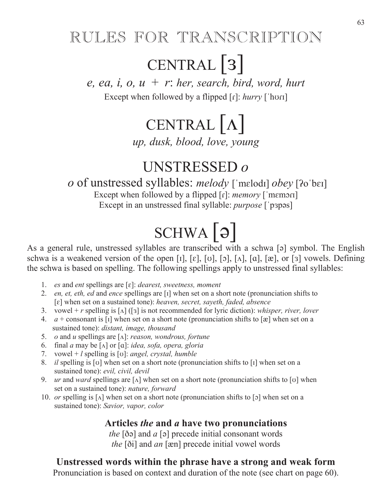## RULES FOR TRANSCRIPTION

## CENTRAL<sup>[3]</sup>

*e, ea, i, o, u* + *r*: *her, search, bird, word, hurt* 

Except when followed by a flipped  $[r]: \text{hurry } [\text{hor}]$ 

# CENTRAL  $\lceil \Lambda \rceil$

*up, dusk, blood, love, young* 

## UNSTRESSED *o*

*o* of unstressed syllables: *melody* ['melodi] *obey* [?o'bɛi]

Except when followed by a flipped [r]: *memory* ['memori] Except in an unstressed final syllable: *purpose* ['p3pəs]

# $SCHWA$ [ə]

As a general rule, unstressed syllables are transcribed with a schwa [ $\sigma$ ] symbol. The English schwa is a weakened version of the open [1], [ $\varepsilon$ ], [ $\sigma$ ], [ $\alpha$ ], [ $\alpha$ ], [ $\alpha$ ], [ $\alpha$ ], [ $\sigma$ ] vowels. Defining the schwa is based on spelling. The following spellings apply to unstressed final syllables:

- 1. *es and ent spellings are [ɛ]: dearest, sweetness, moment*
- 2. *en, et, eth, ed and ence spellings are* [1] when set on a short note (pronunciation shifts to [ $\varepsilon$ ] when set on a sustained tone): *heaven, secret, sayeth, faded, absence*
- 3. vowel +  $r$  spelling is  $\lceil \Delta \rceil$  ( $\lceil s \rceil$ ) is not recommended for lyric diction): *whisper, river, lover*
- 4.  $a +$  consonant is [1] when set on a short note (pronunciation shifts to [xe] when set on a sustained tone): *distant, image, thousand*
- 5. *o* and *u* spellings are [A]: *reason, wondrous, fortune*
- 6. final *a* may be  $\lceil \Lambda \rceil$  or  $\lceil \alpha \rceil$ : *idea, sofa, opera, gloria*
- 7. vowel  $+ l$  spelling is [v]: *angel, crystal, humble*
- 8. *il* spelling is [v] when set on a short note (pronunciation shifts to [I] when set on a sustained tone): *evil, civil, devil*
- 9. ur and *ward* spellings are  $[\lambda]$  when set on a short note (pronunciation shifts to  $[\nu]$  when set on a sustained tone): *nature, forward*
- 10. *or* spelling is  $\lceil \Lambda \rceil$  when set on a short note (pronunciation shifts to  $\lceil 5 \rceil$  when set on a sustained tone): *Savior, vapor, color*

#### **Articles** *the* **and** *a* **have two pronunciations**

*the*  $\delta$ i and *a*  $\delta$  is precede initial consonant words *the* [ $\delta$ i] and *an* [ $\mathcal{E}$ n] precede initial vowel words

#### **Unstressed words within the phrase have a strong and weak form**

Pronunciation is based on context and duration of the note (see chart on page 60).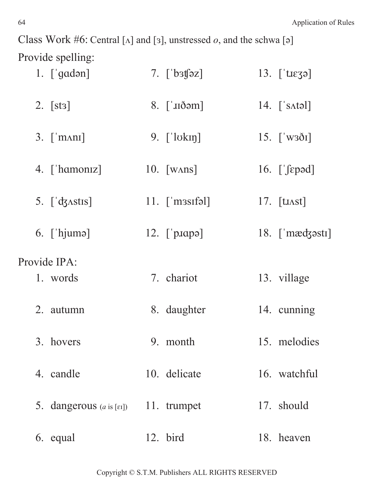Class Work #6: Central [ $\Lambda$ ] and [ $\sigma$ ], unstressed *o*, and the schwa [ $\sigma$ ] Provide spelling:

| $1. \int \text{gad} \cdot \text{g}$         | 7. $\lceil \cdot \cdot \cdot \cdot \rceil$ | 13. $\lceil \text{tr} \cdot \mathbf{z} \rceil$                       |
|---------------------------------------------|--------------------------------------------|----------------------------------------------------------------------|
| 2. $[sts]$                                  | $8.$ [ $\infty$ ]                          | 14. $[$ 's $\Lambda$ təl]                                            |
| $3.$ ['m $\Lambda$ ni]                      | 9. $\lceil \cdot \cdot \cdot \rceil$       | 15. $\left[\begin{array}{c} \sqrt{3} \\ \sqrt{3} \end{array}\right]$ |
| 4. ['hamoniz]                               | $10.$ [WANS]                               | 16. $[\text{spad}]$                                                  |
| 5. $\left[\frac{\text{d}}{\text{d}}\right]$ | $11.$ ['m ssifol]                          | 17. $\lceil \text{tlast} \rceil$                                     |
| $6.$ ['hjuma]                               | 12. $\lceil$ 'p.sapa]                      | $18.$ ['mæd $3$ əstı]                                                |
| Provide IPA:                                |                                            |                                                                      |
| 1. words                                    | 7. chariot                                 | 13. village                                                          |
| 2. autumn                                   | 8. daughter                                | 14. cunning                                                          |
| 3. hovers                                   | 9. month                                   | 15. melodies                                                         |
| 4. candle                                   | 10. delicate                               | 16. watchful                                                         |
| 5. dangerous $(a \text{ is } [1])$          | 11. trumpet                                | 17. should                                                           |
| 6. equal                                    | 12. bird                                   | 18. heaven                                                           |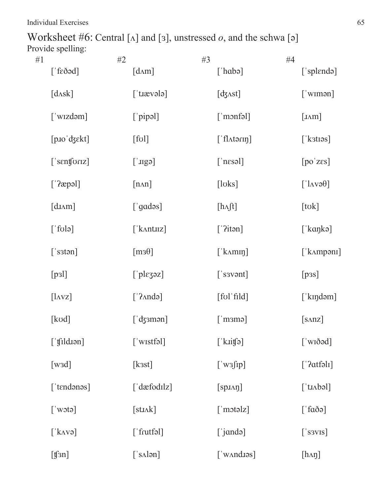Worksheet #6: Central [ $\Lambda$ ] and [ $\sigma$ ], unstressed  $o$ , and the schwa [ $\sigma$ ] Provide spelling:

| #1 |                               | #2 |                            | #3 |                                 | #4 |                         |
|----|-------------------------------|----|----------------------------|----|---------------------------------|----|-------------------------|
|    | $[$ f $\epsilon$ ðəd]         |    | $[d\Lambda m]$             |    | $[\hat{\mathsf{r}}]$            |    | ['splɛndə]              |
|    | $[d\Lambda s\kappa]$          |    | $[$ tracter $]$            |    | $[d3\text{Ast}]$                |    | $[$ 'wimən $]$          |
|    | [ˈwɪzdəm]                     |    | $[\rho$ ipal]              |    | $[$ monfəl $]$                  |    | [ImM]                   |
|    | $[p$ 10' $d$ 3 $\epsilon$ kt] |    | $\lceil \text{fol} \rceil$ |    | $[$ 'fl $\Lambda$ tərı $\eta$ ] |    | [ˈkɜtɪəs]               |
|    | ['senforiz]                   |    | $[$ sqlu $]$               |    | $[$ [nesəl]                     |    | [po'zes]                |
|    | [ˈʔæpəl]                      |    | $[n\Lambda n]$             |    | [loks]                          |    | $[\,']$ AVə $\theta]$   |
|    | [diam]                        |    | ['gadəs]                   |    | [hf]                            |    | [tok]                   |
|    | $[\text{fol } \cdot]$         |    | $[$ kantuz]                |    | $['?$ itən]                     |    | [ˈkɑŋkə]                |
|    | $[$ 's $\mathsf{stan}]$       |    | $[m3\theta]$               |    | $[$ k $\Delta$ min $]$          |    | [ˈkʌmpənɪ]              |
|    | [p3]                          |    | $[\n]$ pl $\epsilon$ zəz]  |    | $[$ 's sv $\mathsf{S}$ nt]      |    | [p3s]                   |
|    | $[\text{lavz}]$               |    | $[\hat{\ }$ ? Anda]        |    | [fol'fild]                      |    | [ˈkɪŋdəm]               |
|    | [kod]                         |    | $[$ 'dʒɜmən $]$            |    | $[$ m $\equiv$ m $\equiv$       |    | [s <sub>anz</sub> ]     |
|    | [ˈʧild.ɪən]                   |    | [ˈwɪstfəl]                 |    | $[\mathbf{k}$ uifə]             |    | [ˈwɪðəd]                |
|    | [wsd]                         |    | [kast]                     |    | $[\n    'w3jip]$                |    | ['2atfall]              |
|    | ['tɛndənəs]                   |    | ['dæfodɪlz]                |    | $[spJ\Lambda\eta]$              |    | $[$ 'tɪʌbəl]            |
|    | $[\n    'w \circ t \circ ]$   |    | $[$ sti $\Lambda$ k $]$    |    | $[$ motolz $]$                  |    | $[\hat{a} \delta \phi]$ |
|    | $[\text{'k}$ <sub>1</sub>     |    | $[$ frutfəl $]$            |    | ['jɑndə]                        |    | $[$ 's $s$ vis]         |
|    | $[\mathfrak{f}\mathfrak{sn}]$ |    | $[$ 's $\Lambda$ lən]      |    | $[$ 'w $\land$ nd. $\circ$ s]   |    | $[h \Lambdag]l$         |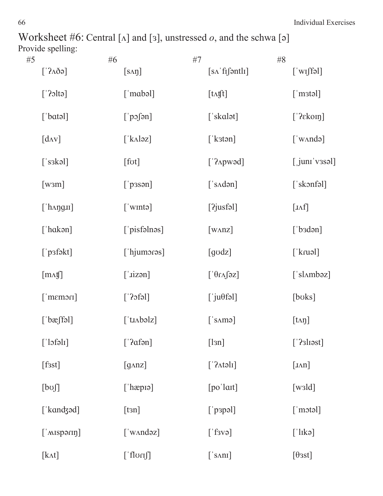Worksheet #6: Central  $[\Lambda]$  and  $[3]$ , unstressed  $o$ , and the schwa  $[\circ]$ Provide spelling:

| #5 |                                     | #6 |                                     | #7 |                                         | #8 |                                     |
|----|-------------------------------------|----|-------------------------------------|----|-----------------------------------------|----|-------------------------------------|
|    | $[3A\delta \phi]$                   |    | $[s \land \eta]$                    |    | $[s \Lambda'$ fif $\mathfrak{f}$ ontli] |    | $[\n    'w \text{!fəl}]$            |
|    | $[\cdot]$ ?oltə $]$                 |    | $[$ 'mabəl]                         |    | $[t \Lambda \text{fft}]$                |    | $[$ mstəl]                          |
|    | $[\text{'batch}]$                   |    | $[\ ]$ pɔʃən]                       |    | ['skalət]                               |    | ['?ekon]                            |
|    | $\left[$ d $\Lambda$ V $\right]$    |    | $[\Delta \lambda \log \frac{1}{2}]$ |    | [ 'kstan ]                              |    | $[\text{'w} \land \text{nd} \circ]$ |
|    | $[$ 's $\alpha$ kəl]                |    | [fot]                               |    | $['2$ Apwəd $]$                         |    | $[$ juni v3səl]                     |
|    | $[$ w $\mathsf{3m}$ ]               |    | $[\ ]$ pasən]                       |    | $[$ 's $\Lambda$ dən]                   |    | [ˈskɔnfəl]                          |
|    | $[$ 'h $\Lambda$ ng $\mathrm{III}]$ |    | $[\n  'w$ mtə $]$                   |    | $[2j$ usfəl $]$                         |    | $\left[ \text{IAf} \right]$         |
|    | [ˈhɑkən]                            |    | [ˈpisfəlnəs]                        |    | $[$ W $\Delta$ nz $]$                   |    | $[\n  'b$ sdən $]\n$                |
|    | ['p3fəkt]                           |    | $[$ 'hjumoras]                      |    | [godz]                                  |    | [ˈkɾuəl]                            |
|    | $[m \Lambda \mathfrak{h}]$          |    | $[\text{izən}]$                     |    | $[\hat{\mathcal{A}} \cap \hat{\theta}]$ |    | ['slʌmbəz]                          |
|    | $[$ memori]                         |    | $[\text{left}]$                     |    | $[\ ]$ ju $\theta$ fəl]                 |    | [boks]                              |
|    | $[\n \mathbf{b}\mathbf{c}$ fəl]     |    | $[$ 'tı $\Lambda$ bəlz]             |    | $[$ samə $]$                            |    | $[t \Delta t]$                      |
|    | $[\ ]$ ofəlı]                       |    | ['?afən]                            |    | [13n]                                   |    | $['?$ sli $est]$                    |
|    | [fsst]                              |    | [q <sub>anz</sub> ]                 |    | $['? \text{Atəli}]$                     |    | [Inn]                               |
|    | [bo]                                |    | $[\hat{=}$ hæpiə]                   |    | $[po'$ lait]                            |    | $[{\rm wald}]$                      |
|    | [ˈkɑnʤəd]                           |    | [tan]                               |    | $[\ ]$ papəl]                           |    | $[$ 'motəl]                         |
|    | $[$ 'MISPƏ $\pi$ IIJ]               |    | ['wʌndəz]                           |    | ['f3V9]                                 |    | $[\,']$ lıkə $]$                    |
|    | [kʌt]                               |    | [ˈfloɾɪʃ]                           |    | $[$ 's $\Delta$ ni]                     |    | $[\theta$ sst]                      |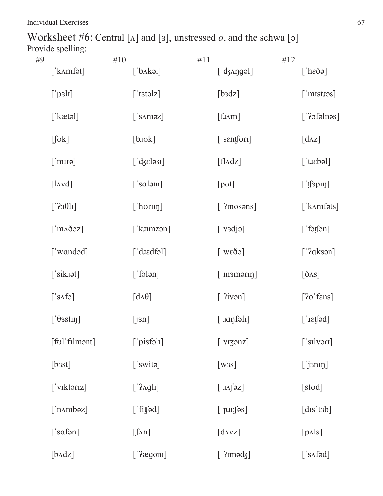Worksheet #6: Central [ $\Lambda$ ] and [ $\sigma$ ], unstressed  $o$ , and the schwa [ $\sigma$ ] Provide spelling:

| #9 |                            | #10 |                                 | #11 |                               | #12 |                           |
|----|----------------------------|-----|---------------------------------|-----|-------------------------------|-----|---------------------------|
|    | [ˈkʌmfət]                  |     | $[\Delta \lambda k$ əl]         |     | $[\dagger]$ dzangəl]          |     | $[\hat{\text{rk}}]$       |
|    | $[\n]$ psl <sub>I</sub>    |     | $[$ tstəlz $]$                  |     | [badz]                        |     | $[$ mistros]              |
|    | [ˈkætəl]                   |     | $[$ 's $\Lambda$ məz $]$        |     | $[$ f. $I\Lambda$ m $]$       |     | $['20$ sfəlnəs]           |
|    | $[\int$ <sub>O</sub> $k$ ] |     | $[\text{b.}\text{uvk}]$         |     | $[$ senform $]$               |     | $\left[d\Lambda z\right]$ |
|    | $[$ cnm $\Gamma$ ]         |     | $[$ 'd $\mathcal{E}$ eləsi]     |     | $[fl\Delta dz]$               |     | $[$ tiebəl]               |
|    | $[$ l $\Delta$ vd $]$      |     | ['saləm]                        |     | [pot]                         |     | ['f3p1f]                  |
|    | [1930]                     |     | $[$ 'horing]                    |     | $['?$ <i>nosons</i> ]         |     | $[ 'k\Lambda mfets]$      |
|    | $[$ m $\Lambda$ ðəz $]$    |     | $[$ ' $k$ <sub>I</sub> $m$ zən] |     | ['v3dj9]                      |     | $[$ fotfən $]$            |
|    | [ˈwɑndəd]                  |     | ['diedfəl]                      |     | $[\text{w} \in \mathfrak{S}$  |     | ['? a k s <sub>on</sub> ] |
|    | ['sik.1ət]                 |     | $[$ folən $]$                   |     | $[$ maməring]                 |     | $[\delta$ AS]             |
|    | $[$ safə]                  |     | $[d \Lambda \theta]$            |     | ['iven]                       |     | $[2o'$ fens $]$           |
|    | $[$ $\theta$ 3sting]       |     | [j3n]                           |     | $[$ '. $i$ aŋfəl $i$ ]        |     | $[! \text{neg} \]$        |
|    | [fol'filmont]              |     | ['pisfəli]                      |     | ['viganz]                     |     | ['silvəri]                |
|    | $[{\text{bast}}]$          |     | ['switə]                        |     | [was]                         |     | $[$ j $\sin$ n $\sin$     |
|    | ['viktoriz]                |     | $['2\text{Agli}]$               |     | $[\Box \Lambda \int 2Z]$      |     | [stod]                    |
|    | $[\n  nnboz]$              |     | $[\n    [fif] \circ d]$         |     | $[\n] \text{prf}_s$           |     | [dis'tsb]                 |
|    | $[$ 'safən]                |     | $[\int \Lambda n]$              |     | $\left[d_{\text{AVZ}}\right]$ |     | $[p\Lambda]$              |
|    | $[b\text{Ad}z]$            |     | ['2egoni]                       |     | ['2mədz]                      |     | $[$ 's $\Lambda$ fəd]     |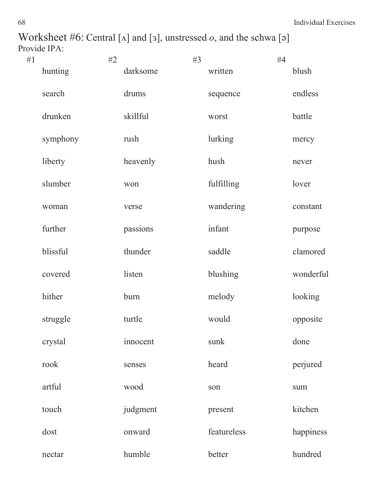Worksheet #6: Central [ $\Lambda$ ] and [ $\sigma$ ], unstressed  $o$ , and the schwa [ $\sigma$ ] Provide IPA:

| #1 |          | #2 |          | #3 |             | #4 |           |
|----|----------|----|----------|----|-------------|----|-----------|
|    | hunting  |    | darksome |    | written     |    | blush     |
|    | search   |    | drums    |    | sequence    |    | endless   |
|    | drunken  |    | skillful |    | worst       |    | battle    |
|    | symphony |    | rush     |    | lurking     |    | mercy     |
|    | liberty  |    | heavenly |    | hush        |    | never     |
|    | slumber  |    | won      |    | fulfilling  |    | lover     |
|    | woman    |    | verse    |    | wandering   |    | constant  |
|    | further  |    | passions |    | infant      |    | purpose   |
|    | blissful |    | thunder  |    | saddle      |    | clamored  |
|    | covered  |    | listen   |    | blushing    |    | wonderful |
|    | hither   |    | burn     |    | melody      |    | looking   |
|    | struggle |    | turtle   |    | would       |    | opposite  |
|    | crystal  |    | innocent |    | sunk        |    | done      |
|    | rook     |    | senses   |    | heard       |    | perjured  |
|    | artful   |    | wood     |    | son         |    | sum       |
|    | touch    |    | judgment |    | present     |    | kitchen   |
|    | dost     |    | onward   |    | featureless |    | happiness |
|    | nectar   |    | humble   |    | better      |    | hundred   |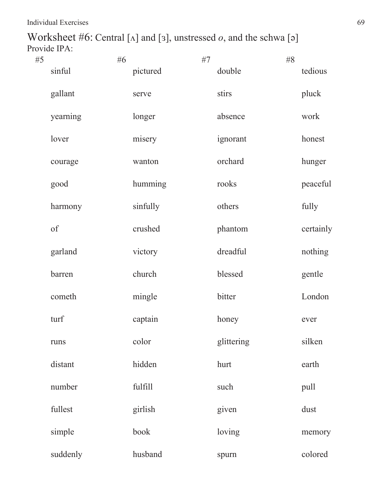Worksheet #6: Central [ $\Lambda$ ] and [ $\sigma$ ], unstressed  $o$ , and the schwa [ $\sigma$ ] Provide IPA:

| #5 |          | #6 |          | #7 |            | $\#8$ |           |
|----|----------|----|----------|----|------------|-------|-----------|
|    | sinful   |    | pictured |    | double     |       | tedious   |
|    | gallant  |    | serve    |    | stirs      |       | pluck     |
|    | yearning |    | longer   |    | absence    |       | work      |
|    | lover    |    | misery   |    | ignorant   |       | honest    |
|    | courage  |    | wanton   |    | orchard    |       | hunger    |
|    | good     |    | humming  |    | rooks      |       | peaceful  |
|    | harmony  |    | sinfully |    | others     |       | fully     |
|    | of       |    | crushed  |    | phantom    |       | certainly |
|    | garland  |    | victory  |    | dreadful   |       | nothing   |
|    | barren   |    | church   |    | blessed    |       | gentle    |
|    | cometh   |    | mingle   |    | bitter     |       | London    |
|    | turf     |    | captain  |    | honey      |       | ever      |
|    | runs     |    | color    |    | glittering |       | silken    |
|    | distant  |    | hidden   |    | hurt       |       | earth     |
|    | number   |    | fulfill  |    | such       |       | pull      |
|    | fullest  |    | girlish  |    | given      |       | dust      |
|    | simple   |    | book     |    | loving     |       | memory    |
|    | suddenly |    | husband  |    | spurn      |       | colored   |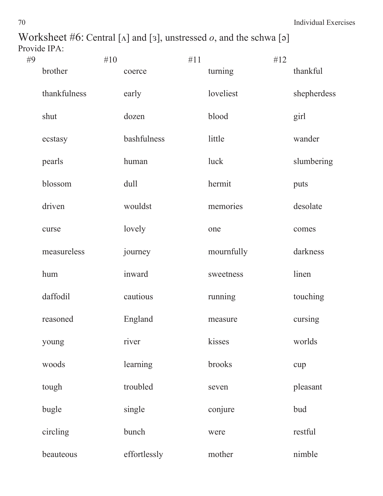Worksheet #6: Central [ $\Lambda$ ] and [ $\sigma$ ], unstressed  $o$ , and the schwa [ $\sigma$ ] Provide IPA:

| #9 |              | #10 |              | #11 |            | #12 |             |
|----|--------------|-----|--------------|-----|------------|-----|-------------|
|    | brother      |     | coerce       |     | turning    |     | thankful    |
|    | thankfulness |     | early        |     | loveliest  |     | shepherdess |
|    | shut         |     | dozen        |     | blood      |     | girl        |
|    | ecstasy      |     | bashfulness  |     | little     |     | wander      |
|    | pearls       |     | human        |     | luck       |     | slumbering  |
|    | blossom      |     | dull         |     | hermit     |     | puts        |
|    | driven       |     | wouldst      |     | memories   |     | desolate    |
|    | curse        |     | lovely       |     | one        |     | comes       |
|    | measureless  |     | journey      |     | mournfully |     | darkness    |
|    | hum          |     | inward       |     | sweetness  |     | linen       |
|    | daffodil     |     | cautious     |     | running    |     | touching    |
|    | reasoned     |     | England      |     | measure    |     | cursing     |
|    | young        |     | river        |     | kisses     |     | worlds      |
|    | woods        |     | learning     |     | brooks     |     | cup         |
|    | tough        |     | troubled     |     | seven      |     | pleasant    |
|    | bugle        |     | single       |     | conjure    |     | bud         |
|    | circling     |     | bunch        |     | were       |     | restful     |
|    | beauteous    |     | effortlessly |     | mother     |     | nimble      |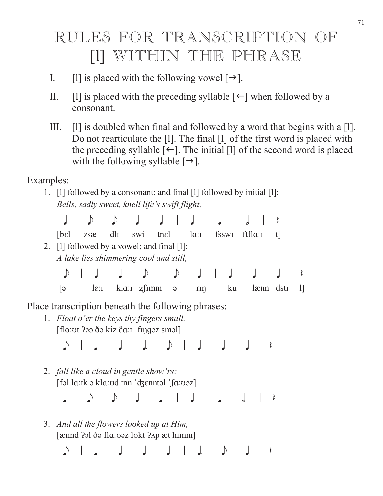## RULES FOR TRANSCRIPTION OF [1] WITHIN THE PHRASE

- I. [1] is placed with the following vowel  $[\rightarrow]$ .
- II. [I] is placed with the preceding syllable  $\lceil \leftarrow \rceil$  when followed by a consonant.
- III. [l] is doubled when final and followed by a word that begins with a [l]. Do not rearticulate the [l]. The final [l] of the first word is placed with the preceding syllable  $\lceil \leftarrow \rceil$ . The initial [1] of the second word is placed with the following syllable  $[\rightarrow]$ .

Examples:

- 1.  $\Box$  [1] followed by a consonant; and final  $\Box$  followed by initial  $\Box$ : *Bells, sadly sweet, knell life's swift flight,* 
	- $J \rightarrow J \rightarrow J \rightarrow J \rightarrow J \rightarrow J \rightarrow$
	- $[bel\ zsæ\ dlI\ swi\ trael\ laI\ fsswI\ ffIaI\ t]$
- 2.  $[1]$  followed by a vowel; and final  $[1]$ : *A lake lies shimmering cool and still,*

 e ' q q e e q ' q q q Q  $\begin{bmatrix} 5 & 1 \\ 2 & 1 \end{bmatrix}$  klass  $\begin{bmatrix} 2 \\ 1 \end{bmatrix}$  and  $\begin{bmatrix} 4 \\ 1 \end{bmatrix}$  ku lænn dstr

Place transcription beneath the following phrases:

1. *Float o'er the keys thy fingers small.*  [floː ot ?oə ðə kiz ðaːɪ 'fingəz smɔl]

e ' q q j e ' q q q Q

2. *fall like a cloud in gentle show'rs;*   $[$ fɔl lɑːɪk ə klɑːʊd ɪnn  $'$ d $\{$ snntəl  $'$ [aːʊəz]

q e e q q ' q q h ' Q

3. *And all the flowers looked up at Him,*  [ nnd ܧݦl èԥ flݜޝܤԥz lݜkt ݞݦp t hܼmm]

e ' q q q q ' j e q Q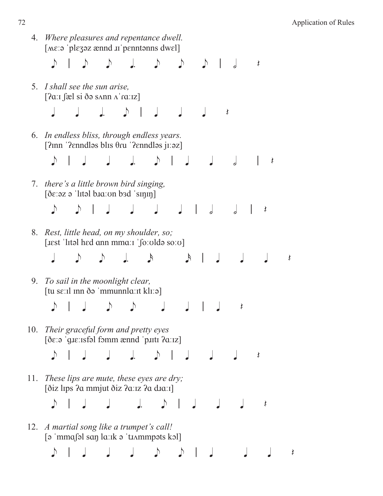4. *Where pleasures and repentance dwell.*   $[N\epsilon; \sigma]$  plezez  $\epsilon$  annd  $\pi$  penntonns dwell e ' e e j e e e ' h Q 5. *I shall see the sun arise,*   $[2a]$   $[a]$  si  $\delta$ ə sann  $\Lambda$ 'ra $|z|$  $J$  d  $J$  d  $J$  d  $J$ 6. *In endless bliss, through endless years.*   $[2 \text{nn} \text{ 'Pemdləs blis } \theta \text{ru } \text{'Pemdləs jı:əz}$  e ' q q j e ' q q h ' Q 7. *there's a little brown bird singing,*   $[\delta \varepsilon : z \varepsilon]$  'lital bud: on bad 'sinin] e e ' q q q q ' h h ' Q 8. *Rest, little head, on my shoulder, so;*  [itst 'lital hed ann mman 'forolda soro] q e e j s s ' q q q Q 9. *To sail in the moonlight clear,*   $\left[\text{tu} \text{ se:}\text{tl} \text{ inn} \delta \circ \text{'mmunnal} \text{at} \text{kl:}\text{ol}\right]$  e ' q e e q q ' q Q 10. *Their graceful form and pretty eyes*  [ðɛːə ˈɡɪɛːɪsfəl fɔmm ænnd ˈpɪɪtɪ ʔɑːɪz] e ' q q j e ' q q q Q 11. *These lips are mute, these eyes are dry;*  [ðiz līps ?a mmjut ðiz ?aːız ?a dīaːɪ] e ' q q j e ' q q q Q 12. *A martial song like a trumpet's call!*  $\lceil \varphi \rceil$ mma $\lceil \varphi \rceil$ san  $\lceil \varphi \rceil$ ti  $\lambda$ mmpəts kəl e ' q q q e e ' q q q Q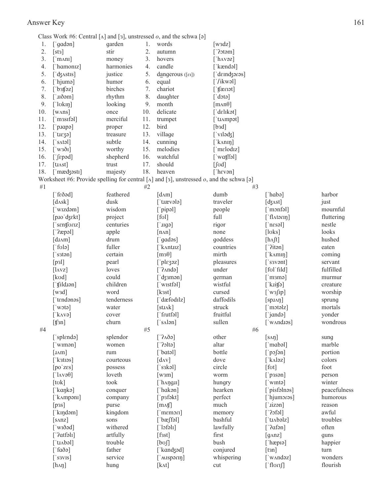#### Answer Key 161

Class Work #6: Central  $[\Lambda]$  and  $[\infty]$ , unstressed  $o$ , and the schwa  $[\infty]$ 

| 1.  | ['qadən]                                                                                                                                                                                                                                                                                                                                                                                                                                                                                  | garden          | 1. | words                                                                                                  | $[{\text{w}}3{\text{d}}z]$            |                                          |              |
|-----|-------------------------------------------------------------------------------------------------------------------------------------------------------------------------------------------------------------------------------------------------------------------------------------------------------------------------------------------------------------------------------------------------------------------------------------------------------------------------------------------|-----------------|----|--------------------------------------------------------------------------------------------------------|---------------------------------------|------------------------------------------|--------------|
| 2.  | [sts]                                                                                                                                                                                                                                                                                                                                                                                                                                                                                     | stir            | 2. | autumn                                                                                                 | $[$ ?otəm]                            |                                          |              |
| 3.  | $\lceil$ 'm $\land$ ni]                                                                                                                                                                                                                                                                                                                                                                                                                                                                   | money           | 3. | hovers                                                                                                 | [' $h$ $\Delta$ vəz]                  |                                          |              |
| 4.  | 'hamoniz]                                                                                                                                                                                                                                                                                                                                                                                                                                                                                 | harmonies       | 4. | candle                                                                                                 | [ˈkændəl]                             |                                          |              |
| 5.  | dz^stis]                                                                                                                                                                                                                                                                                                                                                                                                                                                                                  | justice         | 5. | dangerous $([E1])$                                                                                     | [ˈdɛɪnʤəɾəs]                          |                                          |              |
| 6.  | [ˈhjumə]                                                                                                                                                                                                                                                                                                                                                                                                                                                                                  | humor           | 6. | equal                                                                                                  | $\lceil$ '/ikwəl]                     |                                          |              |
| 7.  | $\lceil \text{b} \cdot \text{b} \cdot \text{b} \cdot \text{b} \cdot \text{b} \cdot \text{b} \cdot \text{b} \cdot \text{b} \cdot \text{b} \cdot \text{b} \cdot \text{b} \cdot \text{b} \cdot \text{b} \cdot \text{b} \cdot \text{b} \cdot \text{b} \cdot \text{b} \cdot \text{b} \cdot \text{b} \cdot \text{b} \cdot \text{b} \cdot \text{b} \cdot \text{b} \cdot \text{b} \cdot \text{b} \cdot \text{b} \cdot \text{b} \cdot \text{b} \cdot \text{b} \cdot \text{b} \cdot \text{b} \cdot$ | birches         | 7. | chariot                                                                                                | $[$ if $\operatorname{im}$            |                                          |              |
| 8.  | †mðəm]                                                                                                                                                                                                                                                                                                                                                                                                                                                                                    | rhythm          | 8. | daughter                                                                                               | $\lceil \text{dot} \rceil$            |                                          |              |
| 9.  | [' $\lceil \text{bkm} \rceil$                                                                                                                                                                                                                                                                                                                                                                                                                                                             | looking         | 9. | month                                                                                                  | $\lceil \text{man}\theta \rceil$      |                                          |              |
| 10. | $\lceil$ WAns $\rceil$                                                                                                                                                                                                                                                                                                                                                                                                                                                                    | 10.<br>once     |    | delicate                                                                                               | ['dɛlɪkət]                            |                                          |              |
| 11. | [ˈmɜsɪfəl]                                                                                                                                                                                                                                                                                                                                                                                                                                                                                | merciful<br>11. |    | trumpet                                                                                                | ['tɪʌmpət]                            |                                          |              |
| 12. | $[$ plape]                                                                                                                                                                                                                                                                                                                                                                                                                                                                                | 12.<br>proper   |    | bird                                                                                                   | [bad]                                 |                                          |              |
| 13. | $[$ ti $\epsilon$ zə]                                                                                                                                                                                                                                                                                                                                                                                                                                                                     | 13.<br>treasure |    | village                                                                                                | $\lceil \text{vilədz} \rceil$         |                                          |              |
| 14. | $\lceil$ 'satəl]                                                                                                                                                                                                                                                                                                                                                                                                                                                                          | subtle<br>14.   |    | cunning                                                                                                | [ $k_{\text{Anip}}$ ]                 |                                          |              |
| 15. | [ˈwɜðɪ]                                                                                                                                                                                                                                                                                                                                                                                                                                                                                   | worthy<br>15.   |    | melodies                                                                                               | $\lceil$ 'm $\epsilon$ lodiz $\rceil$ |                                          |              |
| 16. | [ˈʃɛpəd]                                                                                                                                                                                                                                                                                                                                                                                                                                                                                  | shepherd<br>16. |    | watchful                                                                                               | $\lceil$ watffal]                     |                                          |              |
| 17. | $[$ tu $\Lambda$ st]                                                                                                                                                                                                                                                                                                                                                                                                                                                                      | 17.<br>trust    |    | should                                                                                                 | $\left[\int \sigma d\right]$          |                                          |              |
| 18. | [ˈmædʒəstɪ]                                                                                                                                                                                                                                                                                                                                                                                                                                                                               | majesty<br>18.  |    | heaven                                                                                                 | $\lceil \text{'hev}\rangle$           |                                          |              |
|     |                                                                                                                                                                                                                                                                                                                                                                                                                                                                                           |                 |    | Worksheet #6: Provide spelling for central [ $\triangle$ ] and [3], unstressed $o$ , and the schwa [a] |                                       |                                          |              |
| #1  |                                                                                                                                                                                                                                                                                                                                                                                                                                                                                           |                 | #2 |                                                                                                        | #3                                    |                                          |              |
|     | [ $f\epsilon\delta$ əd]                                                                                                                                                                                                                                                                                                                                                                                                                                                                   | feathered       |    | $\lceil d \Delta m \rceil$                                                                             | dumb                                  | $[$ habə $]$                             | harbor       |
|     | $\lceil d\Lambda$ sk $\rceil$                                                                                                                                                                                                                                                                                                                                                                                                                                                             | dusk            |    | ['tɪævələ]                                                                                             | traveler                              | $[$ dz $\Lambda$ st]                     | just         |
|     | ['wizdəm]                                                                                                                                                                                                                                                                                                                                                                                                                                                                                 | wisdom          |    | ['pipəl]                                                                                               | people                                | $\lceil \cdot \text{monfall} \rceil$     | mournful     |
|     | [p.10 dzekt]                                                                                                                                                                                                                                                                                                                                                                                                                                                                              | project         |    | [fol]                                                                                                  | full                                  | $\lceil$ flatorin]                       | fluttering   |
|     | [ˈsɛnʧʊɾɪz]                                                                                                                                                                                                                                                                                                                                                                                                                                                                               | centuries       |    | $[$ ugə $]$                                                                                            | rigor                                 | $\lceil$ 'n $\epsilon$ səl]              | nestle       |
|     | $[$ ?æpəl]                                                                                                                                                                                                                                                                                                                                                                                                                                                                                | apple           |    | $[n\land n]$                                                                                           | none                                  | [loks]                                   | looks        |
|     | [diam]                                                                                                                                                                                                                                                                                                                                                                                                                                                                                    | drum            |    | ['gadəs]                                                                                               | goddess                               | $[h \Lambda ft]$                         | hushed       |
|     | [ˈfʊlə]                                                                                                                                                                                                                                                                                                                                                                                                                                                                                   | fuller          |    | $\lceil$ kantuz]                                                                                       | countries                             | $\lceil 2$ itən]                         | eaten        |
|     | [ˈsɜtən]                                                                                                                                                                                                                                                                                                                                                                                                                                                                                  | certain         |    | $\lceil m_3 \theta \rceil$                                                                             | mirth                                 | ['k $\Lambda$ mın                        | coming       |
|     | [p3]                                                                                                                                                                                                                                                                                                                                                                                                                                                                                      | pearl           |    | $[$ pl $\epsilon$ zəz]                                                                                 | pleasures                             | $\lceil$ 's svənt $\rceil$               | servant      |
|     | $[\text{lavz}]$                                                                                                                                                                                                                                                                                                                                                                                                                                                                           | loves           |    | $\lceil$ ' $\lambda$ ndə $\rceil$                                                                      | under                                 | [fol'fild]                               | fulfilled    |
|     | [kʊd]                                                                                                                                                                                                                                                                                                                                                                                                                                                                                     | could           |    | [ˈdʒɜmən]                                                                                              | german                                | $\lceil$ 'm $\text{mm}$ ə $\rceil$       | murmur       |
|     | [ˈtʃɪld.ɪən]                                                                                                                                                                                                                                                                                                                                                                                                                                                                              | children        |    | [ˈwɪstfəl]                                                                                             | wistful                               | $[$ kuifə]                               | creature     |
|     | [w3d]                                                                                                                                                                                                                                                                                                                                                                                                                                                                                     | word            |    | [ $kast$ ]                                                                                             | cursed                                | $[\text{ws}]\text{ip}]$                  | worship      |
|     | tendonos]                                                                                                                                                                                                                                                                                                                                                                                                                                                                                 | tenderness      |    | ['dæfodılz]                                                                                            | daffodils                             | $[spI\Lambda\eta]$                       | sprung       |
|     | $[$ wotə $]$                                                                                                                                                                                                                                                                                                                                                                                                                                                                              | water           |    | $[$ sti $\Lambda$ k $]$                                                                                | struck                                | $\lceil$ 'motəlz $\rceil$                | mortals      |
|     | [ˈkʌvə]                                                                                                                                                                                                                                                                                                                                                                                                                                                                                   | cover           |    | [ˈfrutfəl]                                                                                             | fruitful                              | $\lceil$ 'jandə $\rceil$                 | yonder       |
|     | $[$ t $\int$ 3n]                                                                                                                                                                                                                                                                                                                                                                                                                                                                          | churn           |    | $[$ 's $\triangle$ lən]                                                                                | sullen                                | ['wʌndɪəs]                               | wondrous     |
| #4  |                                                                                                                                                                                                                                                                                                                                                                                                                                                                                           |                 | #5 |                                                                                                        | $#6$                                  |                                          |              |
|     | ['splɛndə]                                                                                                                                                                                                                                                                                                                                                                                                                                                                                | splendor        |    | $[3\Delta\delta\rho]$                                                                                  | other                                 | $[s \land \eta]$                         | sung         |
|     | [ˈwɪmən]                                                                                                                                                                                                                                                                                                                                                                                                                                                                                  | women           |    | $\lceil 2$ oltə $\rceil$                                                                               | altar                                 | $\lceil \nceil \text{model} \rceil$      | marble       |
|     | [ImM]                                                                                                                                                                                                                                                                                                                                                                                                                                                                                     | rum             |    | $[$ 'batəl]                                                                                            | bottle                                | $[\n]$ posson]                           | portion      |
|     | [ˈkɜtɪəs]                                                                                                                                                                                                                                                                                                                                                                                                                                                                                 | courteous       |    | $\lceil d_{AV} \rceil$                                                                                 | dove                                  | $\lceil k \triangle 1$                   | colors       |
|     | [po'zes]                                                                                                                                                                                                                                                                                                                                                                                                                                                                                  | possess         |    | $[$ sakəl]                                                                                             | circle                                | [ <i>fort</i> ]                          | foot         |
|     | $\lceil \text{avol} \rceil$                                                                                                                                                                                                                                                                                                                                                                                                                                                               | loveth          |    | $\lceil w \cdot 3m \rceil$                                                                             | worm                                  | $\lceil$ 'p <sub>3</sub> san]            | person       |
|     | $[t$ <sub>O</sub> $k$ ]                                                                                                                                                                                                                                                                                                                                                                                                                                                                   | took            |    | $[$ h $\Lambda$ ng $\text{III}]$                                                                       | hungry                                | $\lceil$ 'wintə $\rceil$                 | winter       |
|     | [ˈkaŋkə]                                                                                                                                                                                                                                                                                                                                                                                                                                                                                  | conquer         |    | ['hakən]                                                                                               | hearken                               | ['pisfəlnəs]                             | peacefulness |
|     | [ˈkʌmpənɪ]                                                                                                                                                                                                                                                                                                                                                                                                                                                                                | company         |    | ['p <sub>3f</sub> akt]                                                                                 | perfect                               | ['hjumoras]                              | humorous     |
|     | [p3s]                                                                                                                                                                                                                                                                                                                                                                                                                                                                                     | purse           |    | $[m \Lambda f]$                                                                                        | much                                  | $\lceil$ '.<br>129n]                     | reason       |
|     | ['kɪŋdəm]                                                                                                                                                                                                                                                                                                                                                                                                                                                                                 | kingdom         |    | $[$ memori $]$                                                                                         | memory                                | $[$ <sup>2</sup> $5$ fəl]                | awful        |
|     | [s <sub>ABZ</sub> ]                                                                                                                                                                                                                                                                                                                                                                                                                                                                       | sons            |    | $[$ bæffəl]                                                                                            | bashful                               | $\lceil$ 'tı $\Delta$ bəlz $\lceil$      | troubles     |
|     | [ˈwɪðəd]                                                                                                                                                                                                                                                                                                                                                                                                                                                                                  | withered        |    | $\lceil \cdot \rceil$                                                                                  | lawfully                              | $\lceil 2afan \rceil$                    | often        |
|     | $\lceil$ '?atfəlı]                                                                                                                                                                                                                                                                                                                                                                                                                                                                        | artfully        |    | [fsst]                                                                                                 | first                                 | $\lceil$ g $\Delta$ nz $\rceil$          | guns         |
|     | $\lceil$ tı $\Delta$ bəl]                                                                                                                                                                                                                                                                                                                                                                                                                                                                 | trouble         |    | [bo]                                                                                                   | bush                                  | $[\hat{=}$ hæpiə $]$                     | happier      |
|     | faðə]                                                                                                                                                                                                                                                                                                                                                                                                                                                                                     | father          |    | ['kandʒəd]                                                                                             | conjured                              | [tan]                                    | turn         |
|     | $[$ 's3VIS]                                                                                                                                                                                                                                                                                                                                                                                                                                                                               | service         |    | $[$ 'MISPƏ $r$ IIJ]                                                                                    | whispering                            | $\lceil$ w $\text{and}\mathsf{az}\rceil$ | wonders      |
|     | $[h \Lambdah]l$                                                                                                                                                                                                                                                                                                                                                                                                                                                                           | hung            |    | $[k \Lambda t]$                                                                                        | cut                                   | $\lceil \cdot \lceil \cdot \rceil$       | flourish     |
|     |                                                                                                                                                                                                                                                                                                                                                                                                                                                                                           |                 |    |                                                                                                        |                                       |                                          |              |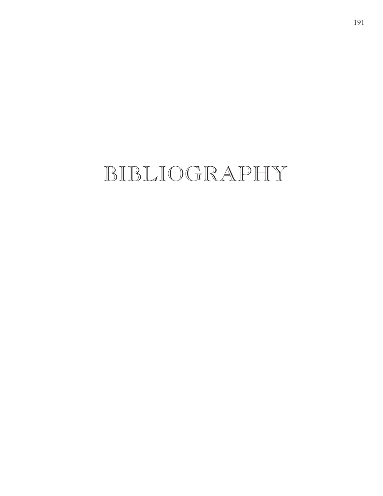# BIBLIOGRAPHY